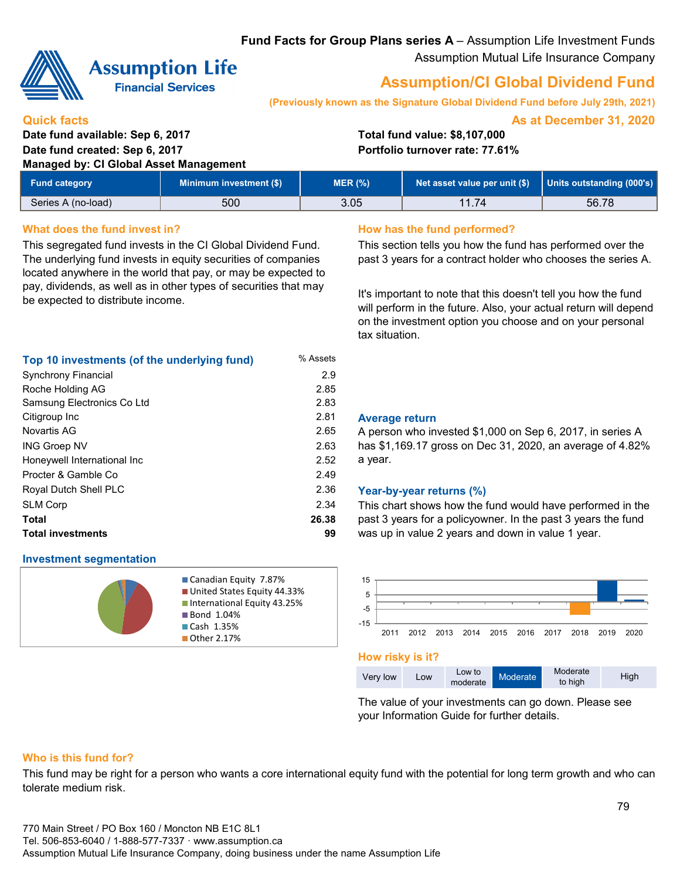**Fund Facts for Group Plans series A** – Assumption Life Investment Funds Assumption Mutual Life Insurance Company



# **Assumption Life**

**Financial Services** 

# **Assumption/CI Global Dividend Fund**

**(Previously known as the Signature Global Dividend Fund before July 29th, 2021)**

**As at December 31, 2020**

#### **Quick facts**

### **Date fund available: Sep 6, 2017 Total fund value: \$8,107,000 Date fund created: Sep 6, 2017 Portfolio turnover rate: 77.61%**

**Managed by** 

| lanaged by: CI Global Asset Management |                                |           |                                                             |       |  |  |
|----------------------------------------|--------------------------------|-----------|-------------------------------------------------------------|-------|--|--|
| <b>Fund category</b>                   | <b>Minimum investment (\$)</b> | $MER$ $%$ | Net asset value per unit $(\$)$   Units outstanding (000's) |       |  |  |
| Series A (no-load)                     | 500                            | 3.05      | 11.74                                                       | 56.78 |  |  |

#### What does the fund invest in? **How has the fund performed?**

This segregated fund invests in the CI Global Dividend Fund. The underlying fund invests in equity securities of companies located anywhere in the world that pay, or may be expected to pay, dividends, as well as in other types of securities that may be expected to distribute income.

| Top 10 investments (of the underlying fund) | % Assets |
|---------------------------------------------|----------|
| <b>Synchrony Financial</b>                  | 2.9      |
| Roche Holding AG                            | 2.85     |
| Samsung Electronics Co Ltd                  | 2.83     |
| Citigroup Inc                               | 2.81     |
| Novartis AG                                 | 2.65     |
| <b>ING Groep NV</b>                         | 2.63     |
| Honeywell International Inc                 | 2.52     |
| Procter & Gamble Co.                        | 2.49     |
| Royal Dutch Shell PLC                       | 2.36     |
| <b>SLM Corp</b>                             | 2.34     |
| Total                                       | 26.38    |
| <b>Total investments</b>                    | 99       |

#### **Investment segmentation**



Canadian Equity 7.87% **United States Equity 44.33% International Equity 43.25% Bond 1.04%** Cash 1.35% ■ Other 2.17%

This section tells you how the fund has performed over the past 3 years for a contract holder who chooses the series A.

It's important to note that this doesn't tell you how the fund will perform in the future. Also, your actual return will depend on the investment option you choose and on your personal tax situation.

#### 2.81 **Average return**

A person who invested \$1,000 on Sep 6, 2017, in series A has \$1,169.17 gross on Dec 31, 2020, an average of 4.82% a year.

#### Year-by-year returns (%)

This chart shows how the fund would have performed in the past 3 years for a policyowner. In the past 3 years the fund was up in value 2 years and down in value 1 year.



#### **How risky is it?**

The value of your investments can go down. Please see your Information Guide for further details.

#### **Who is this fund for?**

This fund may be right for a person who wants a core international equity fund with the potential for long term growth and who can tolerate medium risk.